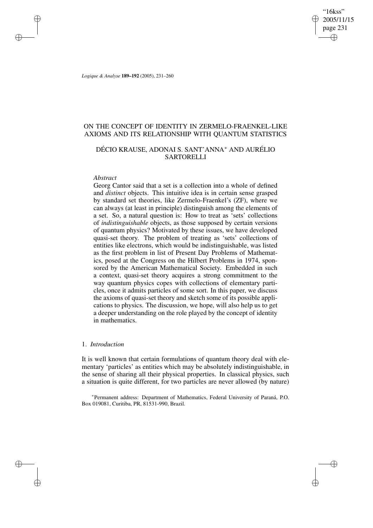"16kss" 2005/11/15 page 231 ✐ ✐

✐

✐

*Logique & Analyse* **189–192** (2005), 231–260

# ON THE CONCEPT OF IDENTITY IN ZERMELO-FRAENKEL-LIKE AXIOMS AND ITS RELATIONSHIP WITH QUANTUM STATISTICS

# DÉCIO KRAUSE, ADONAI S. SANT'ANNA <sup>∗</sup> AND AURÉLIO **SARTORELLI**

## *Abstract*

✐

✐

✐

✐

Georg Cantor said that a set is a collection into a whole of defined and *distinct* objects. This intuitive idea is in certain sense grasped by standard set theories, like Zermelo-Fraenkel's (ZF), where we can always (at least in principle) distinguish among the elements of a set. So, a natural question is: How to treat as 'sets' collections of *indistinguishable* objects, as those supposed by certain versions of quantum physics? Motivated by these issues, we have developed quasi-set theory. The problem of treating as 'sets' collections of entities like electrons, which would be indistinguishable, was listed as the first problem in list of Present Day Problems of Mathematics, posed at the Congress on the Hilbert Problems in 1974, sponsored by the American Mathematical Society. Embedded in such a context, quasi-set theory acquires a strong commitment to the way quantum physics copes with collections of elementary particles, once it admits particles of some sort. In this paper, we discuss the axioms of quasi-set theory and sketch some of its possible applications to physics. The discussion, we hope, will also help us to get a deeper understanding on the role played by the concept of identity in mathematics.

#### 1. *Introduction*

It is well known that certain formulations of quantum theory deal with elementary 'particles' as entities which may be absolutely indistinguishable, in the sense of sharing all their physical properties. In classical physics, such a situation is quite different, for two particles are never allowed (by nature)

∗ Permanent address: Department of Mathematics, Federal University of Paraná, P.O. Box 019081, Curitiba, PR, 81531-990, Brazil.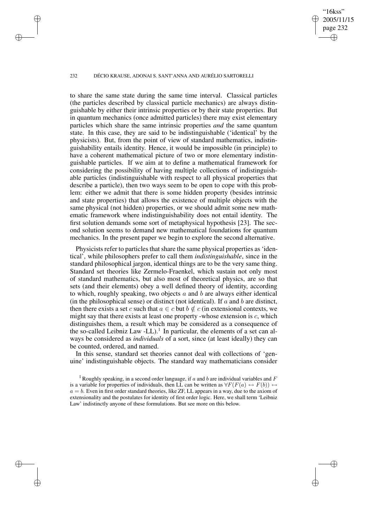#### 232 DÉCIO KRAUSE, ADONAI S. SANT'ANNA AND AURÉLIO SARTORELLI

✐

✐

✐

✐

"16kss" 2005/11/15 page 232

✐

✐

✐

✐

to share the same state during the same time interval. Classical particles (the particles described by classical particle mechanics) are always distinguishable by either their intrinsic properties or by their state properties. But in quantum mechanics (once admitted particles) there may exist elementary particles which share the same intrinsic properties *and* the same quantum state. In this case, they are said to be indistinguishable ('identical' by the physicists). But, from the point of view of standard mathematics, indistinguishability entails identity. Hence, it would be impossible (in principle) to have a coherent mathematical picture of two or more elementary indistinguishable particles. If we aim at to define a mathematical framework for considering the possibility of having multiple collections of indistinguishable particles (indistinguishable with respect to all physical properties that describe a particle), then two ways seem to be open to cope with this problem: either we admit that there is some hidden property (besides intrinsic and state properties) that allows the existence of multiple objects with the same physical (not hidden) properties, or we should admit some new mathematic framework where indistinguishability does not entail identity. The first solution demands some sort of metaphysical hypothesis [23]. The second solution seems to demand new mathematical foundations for quantum mechanics. In the present paper we begin to explore the second alternative.

Physicists refer to particles that share the same physical properties as 'identical', while philosophers prefer to call them *indistinguishable*, since in the standard philosophical jargon, identical things are to be the very same thing. Standard set theories like Zermelo-Fraenkel, which sustain not only most of standard mathematics, but also most of theoretical physics, are so that sets (and their elements) obey a well defined theory of identity, according to which, roughly speaking, two objects  $a$  and  $b$  are always either identical (in the philosophical sense) or distinct (not identical). If  $a$  and  $b$  are distinct, then there exists a set c such that  $a \in c$  but  $b \notin c$  (in extensional contexts, we might say that there exists at least one property -whose extension is  $c$ , which distinguishes them, a result which may be considered as a consequence of the so-called Leibniz Law -LL $)$ .<sup>1</sup> In particular, the elements of a set can always be considered as *individuals* of a sort, since (at least ideally) they can be counted, ordered, and named.

In this sense, standard set theories cannot deal with collections of 'genuine' indistinguishable objects. The standard way mathematicians consider

<sup>1</sup> Roughly speaking, in a second order language, if a and b are individual variables and F is a variable for properties of individuals, then LL can be written as  $\forall F(F(a) \leftrightarrow F(b)) \leftrightarrow$  $a = b$ . Even in first order standard theories, like ZF, LL appears in a way, due to the axiom of extensionality and the postulates for identity of first order logic. Here, we shall term 'Leibniz Law' indistinctly anyone of these formulations. But see more on this below.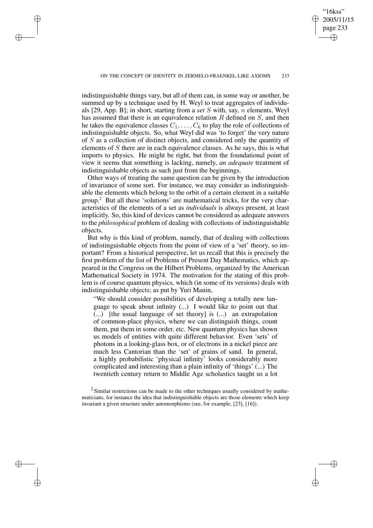✐

✐

✐

"16kss" 2005/11/15 page 233

✐

✐

✐

✐

indistinguishable things vary, but all of them can, in some way or another, be summed up by a technique used by H. Weyl to treat aggregates of individuals [29, App. B]; in short, starting from a *set* S with, say, n elements, Weyl has assumed that there is an equivalence relation  $R$  defined on  $S$ , and then he takes the equivalence classes  $C_1, \ldots, C_k$  to play the role of collections of indistinguishable objects. So, what Weyl did was 'to forget' the very nature of S as a collection of distinct objects, and considered only the quantity of elements of S there are in each equivalence classes. As he says, this is what imports to physics. He might be right, but from the foundational point of view it seems that something is lacking, namely, *an adequate* treatment of indistinguishable objects as such just from the beginnings.

Other ways of treating the same question can be given by the introduction of invariance of some sort. For instance, we may consider as indistinguishable the elements which belong to the orbit of a certain element in a suitable group.<sup>2</sup> But all these 'solutions' are mathematical tricks, for the very characteristics of the elements of a set as *individuals* is always present, at least implicitly. So, this kind of devices cannot be considered as adequate answers to the *philosophical* problem of dealing with collections of indistinguishable objects.

But why is this kind of problem, namely, that of dealing with collections of indistinguishable objects from the point of view of a 'set' theory, so important? From a historical perspective, let us recall that this is precisely the first problem of the list of Problems of Present Day Mathematics, which appeared in the Congress on the Hilbert Problems, organized by the American Mathematical Society in 1974. The motivation for the stating of this problem is of course quantum physics, which (in some of its versions) deals with indistinguishable objects; as put by Yuri Manin,

"We should consider possibilities of developing a totally new language to speak about infinity (...) I would like to point out that (...) [the usual language of set theory] is (...) an extrapolation of common-place physics, where we can distinguish things, count them, put them in some order, etc. New quantum physics has shown us models of entities with quite different behavior. Even 'sets' of photons in a looking-glass box, or of electrons in a nickel piece are much less Cantorian than the 'set' of grains of sand. In general, a highly probabilistic 'physical infinity' looks considerably more complicated and interesting than a plain infinity of 'things' (...) The twentieth century return to Middle Age scholastics taught us a lot

 $2$  Similar restrictions can be made to the other techniques usually considered by mathematicians, for instance the idea that indistinguishable objects are those elements which keep invariant a given structure under automorphisms (see, for example, [23], [16]).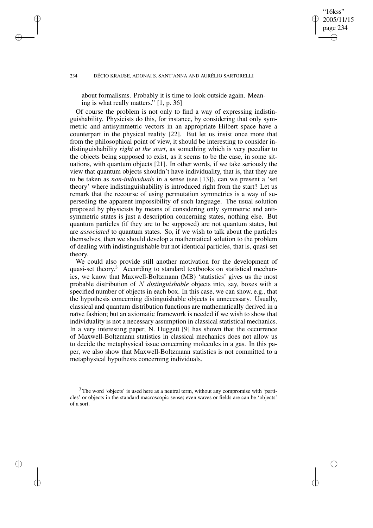#### 234 DÉCIO KRAUSE, ADONAI S. SANT'ANNA AND AURÉLIO SARTORELLI

✐

✐

✐

✐

about formalisms. Probably it is time to look outside again. Meaning is what really matters." [1, p. 36]

"16kss" 2005/11/15 page 234

✐

✐

✐

✐

Of course the problem is not only to find a way of expressing indistinguishability. Physicists do this, for instance, by considering that only symmetric and antisymmetric vectors in an appropriate Hilbert space have a counterpart in the physical reality [22]. But let us insist once more that from the philosophical point of view, it should be interesting to consider indistinguishability *right at the start*, as something which is very peculiar to the objects being supposed to exist, as it seems to be the case, in some situations, with quantum objects [21]. In other words, if we take seriously the view that quantum objects shouldn't have individuality, that is, that they are to be taken as *non-individuals* in a sense (see [13]), can we present a 'set theory' where indistinguishability is introduced right from the start? Let us remark that the recourse of using permutation symmetries is a way of superseding the apparent impossibility of such language. The usual solution proposed by physicists by means of considering only symmetric and antisymmetric states is just a description concerning states, nothing else. But quantum particles (if they are to be supposed) are not quantum states, but are *associated* to quantum states. So, if we wish to talk about the particles themselves, then we should develop a mathematical solution to the problem of dealing with indistinguishable but not identical particles, that is, quasi-set theory.

We could also provide still another motivation for the development of quasi-set theory.<sup>3</sup> According to standard textbooks on statistical mechanics, we know that Maxwell-Boltzmann (MB) 'statistics' gives us the most probable distribution of N *distinguishable* objects into, say, boxes with a specified number of objects in each box. In this case, we can show, e.g., that the hypothesis concerning distinguishable objects is unnecessary. Usually, classical and quantum distribution functions are mathematically derived in a naïve fashion; but an axiomatic framework is needed if we wish to show that individuality is not a necessary assumption in classical statistical mechanics. In a very interesting paper, N. Huggett [9] has shown that the occurrence of Maxwell-Boltzmann statistics in classical mechanics does not allow us to decide the metaphysical issue concerning molecules in a gas. In this paper, we also show that Maxwell-Boltzmann statistics is not committed to a metaphysical hypothesis concerning individuals.

<sup>&</sup>lt;sup>3</sup> The word 'objects' is used here as a neutral term, without any compromise with 'particles' or objects in the standard macroscopic sense; even waves or fields are can be 'objects' of a sort.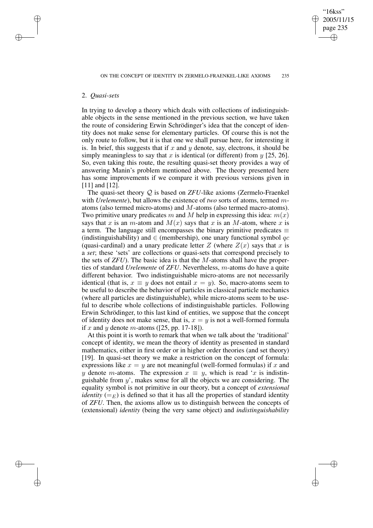"16kss" 2005/11/15 page 235

✐

✐

✐

✐

## 2. *Quasi-sets*

✐

✐

✐

✐

In trying to develop a theory which deals with collections of indistinguishable objects in the sense mentioned in the previous section, we have taken the route of considering Erwin Schrödinger's idea that the concept of identity does not make sense for elementary particles. Of course this is not the only route to follow, but it is that one we shall pursue here, for interesting it is. In brief, this suggests that if x and y denote, say, electrons, it should be simply meaningless to say that x is identical (or different) from  $y$  [25, 26]. So, even taking this route, the resulting quasi-set theory provides a way of answering Manin's problem mentioned above. The theory presented here has some improvements if we compare it with previous versions given in [11] and [12].

The quasi-set theory Q is based on *ZFU*-like axioms (Zermelo-Fraenkel with *Urelemente*), but allows the existence of *two* sorts of atoms, termed matoms (also termed micro-atoms) and M-atoms (also termed macro-atoms). Two primitive unary predicates m and M help in expressing this idea:  $m(x)$ says that x is an m-atom and  $M(x)$  says that x is an M-atom, where x is a term. The language still encompasses the binary primitive predicates  $\equiv$ (indistinguishability) and  $\in$  (membership), one unary functional symbol qc (quasi-cardinal) and a unary predicate letter  $Z$  (where  $Z(x)$  says that x is a *set*; these 'sets' are collections or quasi-sets that correspond precisely to the sets of *ZFU*). The basic idea is that the M-atoms shall have the properties of standard *Urelemente* of *ZFU*. Nevertheless, m-atoms do have a quite different behavior. Two indistinguishable micro-atoms are not necessarily identical (that is,  $x \equiv y$  does not entail  $x = y$ ). So, macro-atoms seem to be useful to describe the behavior of particles in classical particle mechanics (where all particles are distinguishable), while micro-atoms seem to be useful to describe whole collections of indistinguishable particles. Following Erwin Schrödinger, to this last kind of entities, we suppose that the concept of identity does not make sense, that is,  $x = y$  is not a well-formed formula if x and y denote m-atoms ([25, pp. 17-18]).

At this point it is worth to remark that when we talk about the 'traditional' concept of identity, we mean the theory of identity as presented in standard mathematics, either in first order or in higher order theories (and set theory) [19]. In quasi-set theory we make a restriction on the concept of formula: expressions like  $x = y$  are not meaningful (well-formed formulas) if x and y denote m-atoms. The expression  $x \equiv y$ , which is read 'x is indistinguishable from  $y'$ , makes sense for all the objects we are considering. The equality symbol is not primitive in our theory, but a concept of *extensional identity* ( $=$ <sub>E</sub>) is defined so that it has all the properties of standard identity of *ZFU*. Then, the axioms allow us to distinguish between the concepts of (extensional) *identity* (being the very same object) and *indistinguishability*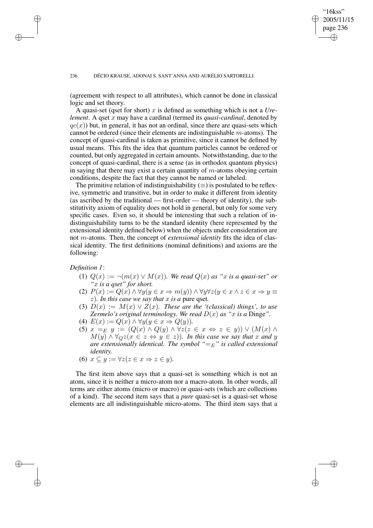#### 236 DÉCIO KRAUSE, ADONAI S. SANT'ANNA AND AURÉLIO SARTORELLI

(agreement with respect to all attributes), which cannot be done in classical logic and set theory.

"16kss" 2005/11/15 page 236

✐

✐

✐

✐

A quasi-set (qset for short) x is defined as something which is not a *Urelement*. A qset x may have a cardinal (termed its *quasi-cardinal*, denoted by  $qc(x)$ ) but, in general, it has not an ordinal, since there are quasi-sets which cannot be ordered (since their elements are indistinguishable  $m$ -atoms). The concept of quasi-cardinal is taken as primitive, since it cannot be defined by usual means. This fits the idea that quantum particles cannot be ordered or counted, but only aggregated in certain amounts. Notwithstanding, due to the concept of quasi-cardinal, there is a sense (as in orthodox quantum physics) in saying that there may exist a certain quantity of  $m$ -atoms obeying certain conditions, despite the fact that they cannot be named or labeled.

The primitive relation of indistinguishability  $(\equiv)$  is postulated to be reflexive, symmetric and transitive, but in order to make it different from identity (as ascribed by the traditional — first-order — theory of identity), the substitutivity axiom of equality does not hold in general, but only for some very specific cases. Even so, it should be interesting that such a relation of indistinguishability turns to be the standard identity (here represented by the extensional identity defined below) when the objects under consideration are not m-atoms. Then, the concept of *extensional identity* fits the idea of classical identity. The first definitions (nominal definitions) and axioms are the following:

*Definition 1*:

✐

✐

✐

✐

- (1)  $Q(x) := \neg(m(x) \lor M(x))$ *. We read*  $Q(x)$  *as "x is a quasi-set" or "*x *is a qset" for short.*
- (2)  $P(x) := Q(x) \wedge \forall y (y \in x \Rightarrow m(y)) \wedge \forall y \forall z (y \in x \wedge z \in x \Rightarrow y \equiv y)$  $(z)$ *. In this case we say that* x *is a pure qset.*
- (3)  $D(x) := M(x) \vee Z(x)$ *. These are the '(classical) things', to use Zermelo's original terminology. We read*  $D(x)$  *as "x is a* Dinge".
- (4)  $E(x) := Q(x) \wedge \forall y (y \in x \Rightarrow Q(y)).$
- (5)  $x =_E y := (Q(x) \wedge Q(y) \wedge \forall z (z \in x \Leftrightarrow z \in y)) \vee (M(x) \wedge$  $M(y) \wedge \forall_Q z (x \in z \Leftrightarrow y \in z)$ *). In this case we say that* x and y *are extensionally identical. The symbol*  $"=\mathrm{E}$ " *is called extensional identity.*
- (6)  $x \subseteq y := \forall z (z \in x \Rightarrow z \in y)$ .

The first item above says that a quasi-set is something which is not an atom, since it is neither a micro-atom nor a macro-atom. In other words, all terms are either atoms (micro or macro) or quasi-sets (which are collections of a kind). The second item says that a *pure* quasi-set is a quasi-set whose elements are all indistinguishable micro-atoms. The third item says that a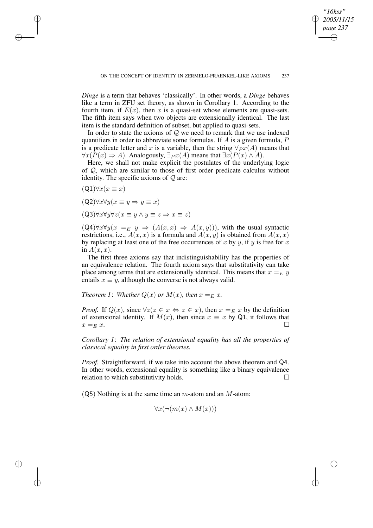*Dinge* is a term that behaves 'classically'. In other words, a *Dinge* behaves like a term in ZFU set theory, as shown in Corollary 1. According to the fourth item, if  $E(x)$ , then x is a quasi-set whose elements are quasi-sets. The fifth item says when two objects are extensionally identical. The last item is the standard definition of subset, but applied to quasi-sets.

In order to state the axioms of  $Q$  we need to remark that we use indexed quantifiers in order to abbreviate some formulas. If  $A$  is a given formula,  $P$ is a predicate letter and x is a variable, then the string  $\forall_{P} x(A)$  means that  $\forall x (P(x) \Rightarrow A)$ . Analogously,  $\exists px(A)$  means that  $\exists x (P(x) \land A)$ .

Here, we shall not make explicit the postulates of the underlying logic of  $\mathcal{Q}$ , which are similar to those of first order predicate calculus without identity. The specific axioms of  $Q$  are:

 $(Q1)\forall x(x \equiv x)$ 

✐

✐

✐

✐

- $(Q2)\forall x\forall y(x\equiv y\Rightarrow y\equiv x)$
- $(Q3)\forall x\forall y\forall z(x\equiv y \land y\equiv z \Rightarrow x\equiv z)$

 $(Q4)\forall x\forall y(x =_E y \Rightarrow (A(x, x) \Rightarrow A(x, y)))$ , with the usual syntactic restrictions, i.e.,  $A(x, x)$  is a formula and  $A(x, y)$  is obtained from  $A(x, x)$ by replacing at least one of the free occurrences of x by y, if y is free for x in  $A(x, x)$ .

The first three axioms say that indistinguishability has the properties of an equivalence relation. The fourth axiom says that substitutivity can take place among terms that are extensionally identical. This means that  $x =_F y$ entails  $x \equiv y$ , although the converse is not always valid.

*Theorem 1: Whether*  $Q(x)$  *or*  $M(x)$ *, then*  $x =_E x$ *.* 

*Proof.* If  $Q(x)$ , since  $\forall z (z \in x \Leftrightarrow z \in x)$ , then  $x =_E x$  by the definition of extensional identity. If  $M(x)$ , then since  $x \equiv x$  by Q1, it follows that  $x = E x.$ 

*Corollary 1*: *The relation of extensional equality has all the properties of classical equality in first order theories.*

*Proof.* Straightforward, if we take into account the above theorem and Q4. In other words, extensional equality is something like a binary equivalence relation to which substitutivity holds.  $\square$ 

 $(Q5)$  Nothing is at the same time an m-atom and an M-atom:

$$
\forall x (\neg (m(x) \land M(x)))
$$

*"16kss" 2005/11/15 page 237*

✐

✐

✐

✐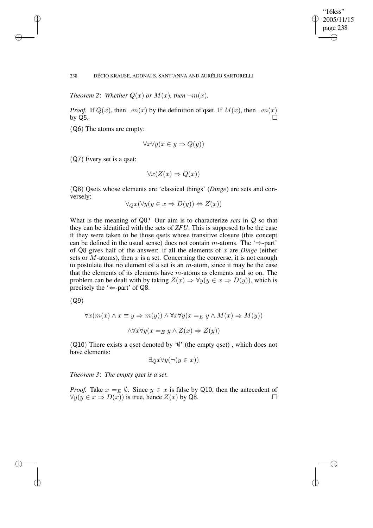✐

## 238 DÉCIO KRAUSE, ADONAI S. SANT'ANNA AND AURÉLIO SARTORELLI

*Theorem* 2: *Whether*  $Q(x)$  *or*  $M(x)$ *, then*  $\neg m(x)$ *.* 

*Proof.* If  $Q(x)$ , then  $\neg m(x)$  by the definition of gset. If  $M(x)$ , then  $\neg m(x)$ by Q5.  $\Box$ 

(Q6) The atoms are empty:

✐

✐

✐

✐

$$
\forall x \forall y (x \in y \Rightarrow Q(y))
$$

(Q7) Every set is a qset:

$$
\forall x (Z(x) \Rightarrow Q(x))
$$

(Q8) Qsets whose elements are 'classical things' (*Dinge*) are sets and conversely:

$$
\forall_Q x (\forall y (y \in x \Rightarrow D(y)) \Leftrightarrow Z(x))
$$

What is the meaning of Q8? Our aim is to characterize *sets* in Q so that they can be identified with the sets of *ZFU*. This is supposed to be the case if they were taken to be those qsets whose transitive closure (this concept can be defined in the usual sense) does not contain m-atoms. The ' $\Rightarrow$ -part' of Q8 gives half of the answer: if all the elements of x are *Dinge* (either sets or  $M$ -atoms), then  $x$  is a set. Concerning the converse, it is not enough to postulate that no element of a set is an  $m$ -atom, since it may be the case that the elements of its elements have m-atoms as elements and so on. The problem can be dealt with by taking  $Z(x) \Rightarrow \forall y (y \in x \Rightarrow D(y))$ , which is precisely the ' $\Leftarrow$ -part' of Q8.

(Q9)

$$
\forall x (m(x) \land x \equiv y \Rightarrow m(y)) \land \forall x \forall y (x =_E y \land M(x) \Rightarrow M(y))
$$

$$
\land \forall x \forall y (x =_E y \land Z(x) \Rightarrow Z(y))
$$

(Q10) There exists a qset denoted by ' $\emptyset$ ' (the empty qset), which does not have elements:

 $\exists_{Q} x \forall y (\neg (y \in x))$ 

*Theorem 3*: *The empty qset is a set.*

*Proof.* Take  $x =_E \emptyset$ . Since  $y \in x$  is false by Q10, then the antecedent of  $\forall y(y \in x \Rightarrow D(x))$  is true, hence  $Z(x)$  by Q8.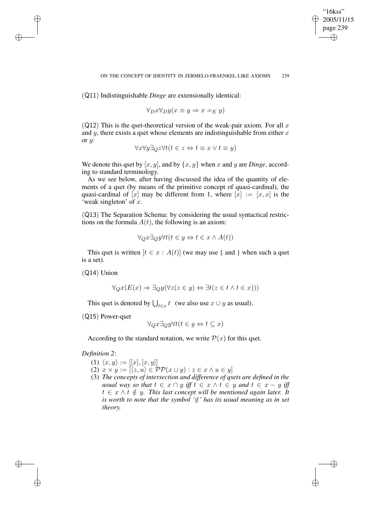"16kss" 2005/11/15 page 239

✐

✐

✐

✐

(Q11) Indistinguishable *Dinge* are extensionally identical:

$$
\forall_D x \forall_D y (x \equiv y \Rightarrow x =_E y)
$$

(Q12) This is the qset-theoretical version of the weak-pair axiom. For all x and  $y$ , there exists a qset whose elements are indistinguishable from either  $x$ or  $y$ :

$$
\forall x \forall y \exists_Q z \forall t (t \in z \Leftrightarrow t \equiv x \lor t \equiv y)
$$

We denote this qset by  $[x, y]$ , and by  $\{x, y\}$  when x and y are *Dinge*, according to standard terminology.

As we see below, after having discussed the idea of the quantity of elements of a qset (by means of the primitive concept of quasi-cardinal), the quasi-cardinal of  $[x]$  may be different from 1, where  $[x] := [x, x]$  is the 'weak singleton' of  $x$ .

(Q13) The Separation Schema: by considering the usual syntactical restrictions on the formula  $A(t)$ , the following is an axiom:

$$
\forall_Q x \exists_Q y \forall t (t \in y \Leftrightarrow t \in x \land A(t))
$$

This qset is written  $[t \in x : A(t)]$  (we may use { and } when such a qset is a set).

(Q14) Union

✐

✐

✐

✐

$$
\forall_Q x (E(x) \Rightarrow \exists_Q y (\forall z (z \in y) \Leftrightarrow \exists t (z \in t \land t \in x)))
$$

This qset is denoted by  $\bigcup_{t\in x} t$  (we also use  $x \cup y$  as usual).

(Q15) Power-qset

$$
\forall_Q x \exists_Q y \forall t (t \in y \Leftrightarrow t \subseteq x)
$$

According to the standard notation, we write  $P(x)$  for this qset.

## *Definition 2*:

- (1)  $\langle x, y \rangle := [[x], [x, y]]$
- (2)  $x \times y := [\langle z, u \rangle \in \mathcal{PP}(x \cup y) : z \in x \land u \in y]$
- (3) *The concepts of intersection and difference of qsets are defined in the usual* way so that  $t \in x \cap y$  *iff*  $t \in x \land t \in y$  *and*  $t \in x - y$  *iff*  $t \in x \wedge t \notin y$ . This last concept will be mentioned again later. It *is* worth to note that the symbol  $\forall \xi$  *has its usual meaning as in set theory.*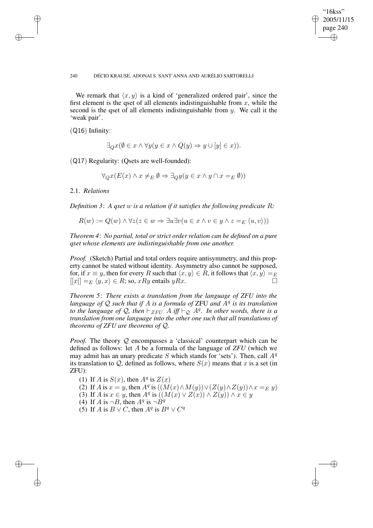✐

#### 240 DÉCIO KRAUSE, ADONAI S. SANT'ANNA AND AURÉLIO SARTORELLI

We remark that  $\langle x, y \rangle$  is a kind of 'generalized ordered pair', since the first element is the qset of all elements indistinguishable from  $x$ , while the second is the qset of all elements indistinguishable from  $y$ . We call it the 'weak pair'.

(Q16) Infinity:

✐

✐

✐

✐

$$
\exists_Q x (\emptyset \in x \land \forall y (y \in x \land Q(y) \Rightarrow y \cup [y] \in x)).
$$

(Q17) Regularity: (Qsets are well-founded):

$$
\forall_Q x (E(x) \land x \neq_E \emptyset \Rightarrow \exists_Q y (y \in x \land y \cap x =_E \emptyset))
$$

2.1. *Relations*

*Definition 3*: *A qset* w *is a relation if it satisfies the following predicate* R*:*

$$
R(w) := Q(w) \land \forall z (z \in w \Rightarrow \exists u \exists v (u \in x \land v \in y \land z =_E \langle u, v \rangle))
$$

*Theorem 4*: *No partial, total or strict order relation can be defined on a pure qset whose elements are indistinguishable from one another.*

*Proof.* (Sketch) Partial and total orders require antisymmetry, and this property cannot be stated without identity. Asymmetry also cannot be supposed, for, if  $x \equiv y$ , then for every R such that  $\langle x, y \rangle \in R$ , it follows that  $\langle x, y \rangle =_E$  $[[x]] =_E \langle y, x \rangle \in R$ ; so, xRy entails yRx.

*Theorem 5*: *There exists a translation from the language of ZFU into the language of* Q *such that if* A *is a formula of* ZFU *and* A<sup>q</sup> *is its translation to* the language of Q, then  $\vdash_{ZFU} A$  iff  $\vdash_{\mathcal{Q}} A^q$ . In other words, there is a *translation from one language into the other one such that all translations of theorems of ZFU are theorems of* Q*.*

*Proof.* The theory Q encompasses a 'classical' counterpart which can be defined as follows: let A be a formula of the language of *ZFU* (which we may admit has an unary predicate S which stands for 'sets'). Then, call  $A<sup>q</sup>$ its translation to Q, defined as follows, where  $S(x)$  means that x is a set (in ZFU):

- (1) If A is  $S(x)$ , then  $A^q$  is  $Z(x)$
- (2) If A is  $x = y$ , then  $A^q$  is  $((M(x) \wedge M(y)) \vee (Z(y) \wedge Z(y)) \wedge x =_E y)$
- (3) If A is  $x \in y$ , then  $A^q$  is  $((M(x) \vee Z(x)) \wedge Z(y)) \wedge x \in y$ 
	- (4) If A is  $\neg B$ , then  $A^q$  is  $\neg \hat{B}^q$
	- (5) If A is  $B \vee C$ , then  $A^q$  is  $B^q \vee C^q$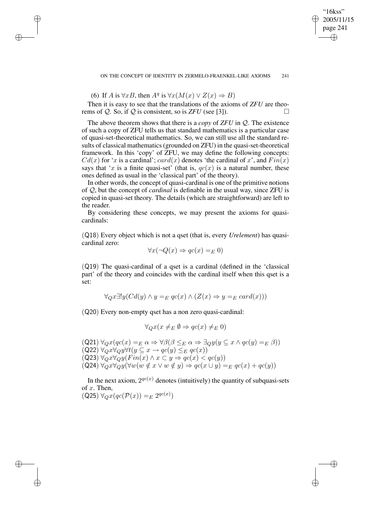(6) If A is  $\forall x B$ , then  $A^q$  is  $\forall x (M(x) \lor Z(x) \Rightarrow B)$ 

✐

✐

✐

✐

Then it is easy to see that the translations of the axioms of *ZFU* are theorems of  $Q$ . So, if  $Q$  is consistent, so is *ZFU* (see [3]).

The above theorem shows that there is a *copy* of *ZFU* in Q. The existence of such a copy of ZFU tells us that standard mathematics is a particular case of quasi-set-theoretical mathematics. So, we can still use all the standard results of classical mathematics (grounded on ZFU) in the quasi-set-theoretical framework. In this 'copy' of ZFU, we may define the following concepts:  $Cd(x)$  for 'x is a cardinal';  $card(x)$  denotes 'the cardinal of x', and  $Fin(x)$ says that 'x is a finite quasi-set' (that is,  $qc(x)$  is a natural number, these ones defined as usual in the 'classical part' of the theory).

In other words, the concept of quasi-cardinal is one of the primitive notions of Q, but the concept of *cardinal* is definable in the usual way, since ZFU is copied in quasi-set theory. The details (which are straightforward) are left to the reader.

By considering these concepts, we may present the axioms for quasicardinals:

(Q18) Every object which is not a qset (that is, every *Urelement*) has quasicardinal zero:

$$
\forall x (\neg Q(x) \Rightarrow qc(x) =_E 0)
$$

(Q19) The quasi-cardinal of a qset is a cardinal (defined in the 'classical part' of the theory and coincides with the cardinal itself when this qset is a set:

$$
\forall_Q x \exists! y (Cd(y) \land y =_E qc(x) \land (Z(x) \Rightarrow y =_E card(x)))
$$

(Q20) Every non-empty qset has a non zero quasi-cardinal:

$$
\forall_Q x (x \neq_E \emptyset \Rightarrow qc(x) \neq_E 0)
$$

 $(Q21) \ \forall_Q x (qc(x) =_E \alpha \Rightarrow \forall \beta (\beta \leq_E \alpha \Rightarrow \exists_Q y (y \subseteq x \land qc(y) =_E \beta))$ (Q22)  $\forall_Q x \forall_Q y \forall t (y \subseteq x \rightarrow qc(y) \leq_E qc(x))$  $(Q23) \ \forall_Q x \forall_Q y (Fin(x) \land x \subset y \Rightarrow qc(x) < qc(y))$  $(Q24) \ \forall_{Q} x \forall_{Q} y (\forall w (w \notin x \lor w \notin y) \Rightarrow qc(x \cup y)) =_{E} qc(x) + qc(y))$ 

In the next axiom,  $2^{qc(x)}$  denotes (intuitively) the quantity of subquasi-sets of  $x$ . Then, )

$$
(Q25) \ \forall_Q x (qc(\mathcal{P}(x)) =_E 2^{qc(x)}
$$

2005/11/15 page 241 ✐

✐

✐

✐

"16kss"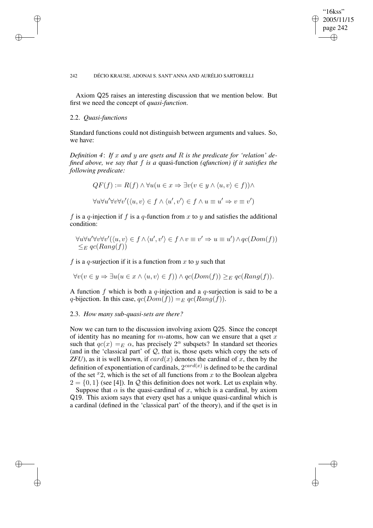## "16kss" 2005/11/15 page 242 ✐ ✐

✐

✐

#### 242 DÉCIO KRAUSE, ADONAI S. SANT'ANNA AND AURÉLIO SARTORELLI

Axiom Q25 raises an interesting discussion that we mention below. But first we need the concept of *quasi-function*.

## 2.2. *Quasi-functions*

✐

✐

✐

✐

Standard functions could not distinguish between arguments and values. So, we have:

*Definition 4*: *If* x *and* y *are qsets and* R *is the predicate for 'relation' defined above, we say that* f *is a* quasi-function *(qfunction) if it satisfies the following predicate:*

$$
QF(f) := R(f) \land \forall u(u \in x \Rightarrow \exists v(v \in y \land \langle u, v \rangle \in f)) \land
$$

$$
\forall u \forall u' \forall v \forall v' (\langle u, v \rangle \in f \land \langle u', v' \rangle \in f \land u \equiv u' \Rightarrow v \equiv v')
$$

f is a q-injection if f is a q-function from x to y and satisfies the additional condition:

$$
\forall u \forall u' \forall v \forall v' (\langle u, v \rangle \in f \land \langle u', v' \rangle \in f \land v \equiv v' \Rightarrow u \equiv u') \land qc(Dom(f))
$$
  

$$
\leq_E qc(Rang(f))
$$

f is a q-surjection if it is a function from x to y such that

$$
\forall v (v \in y \Rightarrow \exists u (u \in x \land \langle u, v \rangle \in f)) \land qc(Dom(f)) \geq_{E} qc(Rang(f)).
$$

A function f which is both a q-injection and a q-surjection is said to be a q-bijection. In this case,  $qc(Dom(f)) =_E qc(Rang(f)).$ 

#### 2.3. *How many sub-quasi-sets are there?*

Now we can turn to the discussion involving axiom Q25. Since the concept of identity has no meaning for  $m$ -atoms, how can we ensure that a qset  $x$ such that  $qc(x) =_E \alpha$ , has precisely  $2^\alpha$  subqsets? In standard set theories (and in the 'classical part' of  $Q$ , that is, those qsets which copy the sets of  $ZFU$ ), as it is well known, if  $card(x)$  denotes the cardinal of x, then by the definition of exponentiation of cardinals,  $2^{card(x)}$  is defined to be the cardinal of the set  $x^2$ , which is the set of all functions from x to the Boolean algebra  $2 = \{0, 1\}$  (see [4]). In Q this definition does not work. Let us explain why.

Suppose that  $\alpha$  is the quasi-cardinal of x, which is a cardinal, by axiom Q19. This axiom says that every qset has a unique quasi-cardinal which is a cardinal (defined in the 'classical part' of the theory), and if the qset is in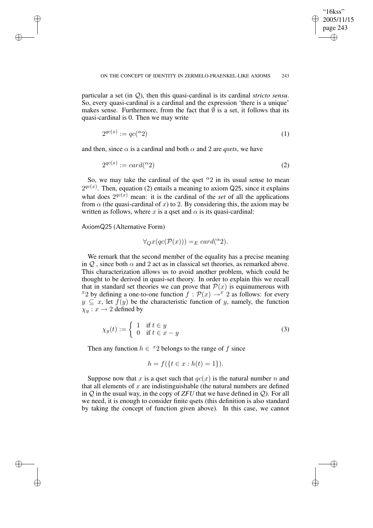✐

#### ON THE CONCEPT OF IDENTITY IN ZERMELO-FRAENKEL-LIKE AXIOMS 243

particular a set (in Q), then this quasi-cardinal is its cardinal *stricto sensu*. So, every quasi-cardinal is a cardinal and the expression 'there is a unique' makes sense. Furthermore, from the fact that  $\bar{\psi}$  is a set, it follows that its quasi-cardinal is 0. Then we may write

$$
2^{qc(x)} := qc({}^{\alpha}2)
$$
 (1)

and then, since  $\alpha$  is a cardinal and both  $\alpha$  and 2 are *qsets*, we have

$$
2^{qc(x)} := card(^{\alpha}2) \tag{2}
$$

So, we may take the cardinal of the qset  $\alpha_2$  in its usual sense to mean  $2^{qc(x)}$ . Then, equation (2) entails a meaning to axiom Q25, since it explains what does  $2^{qc(x)}$  mean: it is the cardinal of the *set* of all the applications from  $\alpha$  (the quasi-cardinal of x) to 2. By considering this, the axiom may be written as follows, where x is a qset and  $\alpha$  is its quasi-cardinal:

AxiomQ25 (Alternative Form)

✐

✐

✐

✐

$$
\forall_Q x(qc(\mathcal{P}(x))) =_E \operatorname{card}({}^{\alpha}2).
$$

We remark that the second member of the equality has a precise meaning in  $Q$ , since both  $\alpha$  and 2 act as in classical set theories, as remarked above. This characterization allows us to avoid another problem, which could be thought to be derived in quasi-set theory. In order to explain this we recall that in standard set theories we can prove that  $\mathcal{P}(x)$  is equinumerous with <sup>x</sup>2 by defining a one-to-one function  $f : \mathcal{P}(x) \to^x 2$  as follows: for every  $y \subseteq x$ , let  $f(y)$  be the characteristic function of y, namely, the function  $\chi_y: x \to 2$  defined by

$$
\chi_y(t) := \begin{cases} 1 & \text{if } t \in y \\ 0 & \text{if } t \in x - y \end{cases} \tag{3}
$$

Then any function  $h \in {}^{x}2$  belongs to the range of f since

$$
h = f(\{t \in x : h(t) = 1\}).
$$

Suppose now that x is a qset such that  $qc(x)$  is the natural number n and that all elements of  $x$  are indistinguishable (the natural numbers are defined in  $Q$  in the usual way, in the copy of *ZFU* that we have defined in  $Q$ ). For all we need, it is enough to consider finite qsets (this definition is also standard by taking the concept of function given above). In this case, we cannot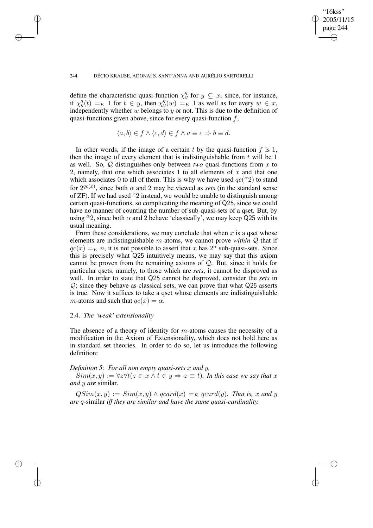#### 244 DÉCIO KRAUSE, ADONAI S. SANT'ANNA AND AURÉLIO SARTORELLI

define the characteristic quasi-function  $\chi_y^q$  for  $y \subseteq x$ , since, for instance, if  $\chi^q_y(t) =_E 1$  for  $t \in y$ , then  $\chi^q_y(w) =_E 1$  as well as for every  $w \in x$ , independently whether w belongs to y or not. This is due to the definition of quasi-functions given above, since for every quasi-function  $f$ ,

"16kss" 2005/11/15 page 244

✐

✐

✐

✐

$$
\langle a,b\rangle \in f \wedge \langle c,d\rangle \in f \wedge a \equiv c \Rightarrow b \equiv d.
$$

In other words, if the image of a certain  $t$  by the quasi-function  $f$  is 1, then the image of every element that is indistinguishable from  $t$  will be 1 as well. So, Q distinguishes only between *two* quasi-functions from x to 2, namely, that one which associates 1 to all elements of  $x$  and that one which associates 0 to all of them. This is why we have used  $qc(^{\alpha_2})$  to stand for  $2^{qc(x)}$ , since both  $\alpha$  and 2 may be viewed as *sets* (in the standard sense of ZF). If we had used  $x_2$  instead, we would be unable to distinguish among certain quasi-functions, so complicating the meaning of Q25, since we could have no manner of counting the number of sub-quasi-sets of a qset. But, by using  $\alpha$ 2, since both  $\alpha$  and 2 behave 'classically', we may keep Q25 with its usual meaning.

From these considerations, we may conclude that when  $x$  is a qset whose elements are indistinguishable m-atoms, we cannot prove *within* Q that if  $qc(x) =_E n$ , it is not possible to assert that x has  $2^n$  sub-quasi-sets. Since this is precisely what Q25 intuitively means, we may say that this axiom cannot be proven from the remaining axioms of Q. But, since it holds for particular qsets, namely, to those which are *sets*, it cannot be disproved as well. In order to state that Q25 cannot be disproved, consider the *sets* in Q; since they behave as classical sets, we can prove that what Q25 asserts is true. Now it suffices to take a qset whose elements are indistinguishable m-atoms and such that  $qc(x) = \alpha$ .

## 2.4. *The 'weak' extensionality*

✐

✐

✐

✐

The absence of a theory of identity for  $m$ -atoms causes the necessity of a modification in the Axiom of Extensionality, which does not hold here as in standard set theories. In order to do so, let us introduce the following definition:

#### *Definition 5*: *For all non empty quasi-sets* x *and* y*,*

 $Sim(x, y) := \forall z \forall t (z \in x \land t \in y \Rightarrow z \equiv t)$ . In this case we say that x *and* y *are* similar*.*

 $QSim(x, y) := Sim(x, y) \wedge qcard(x) =_E qcard(y)$ . That is, x and y *are* q*-*similar *iff they are similar and have the same quasi-cardinality.*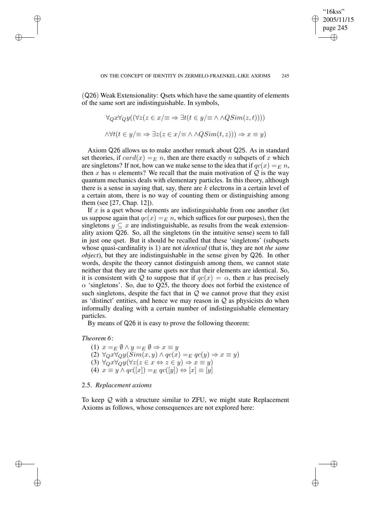"16kss" 2005/11/15 page 245

✐

✐

✐

✐

(Q26) Weak Extensionality: Qsets which have the same quantity of elements of the same sort are indistinguishable. In symbols,

$$
\forall_Q x \forall_Q y ((\forall z (z \in x/\equiv \Rightarrow \exists t (t \in y/\equiv \land \land QSim(z, t))))
$$
  

$$
\land \forall t (t \in y/\equiv \Rightarrow \exists z (z \in x/\equiv \land \land QSim(t, z))) \Rightarrow x \equiv y)
$$

Axiom Q26 allows us to make another remark about Q25. As in standard set theories, if  $card(x) = E_n n$ , then are there exactly n subquests of x which are singletons? If not, how can we make sense to the idea that if  $qc(x) = E n$ , then x has n elements? We recall that the main motivation of  $Q$  is the way quantum mechanics deals with elementary particles. In this theory, although there is a sense in saying that, say, there are  $k$  electrons in a certain level of a certain atom, there is no way of counting them or distinguishing among them (see [27, Chap. 12]).

If  $x$  is a qset whose elements are indistinguishable from one another (let us suppose again that  $qc(x) = E_n$ , which suffices for our purposes), then the singletons  $y \subseteq x$  are indistinguishable, as results from the weak extensionality axiom Q26. So, all the singletons (in the intuitive sense) seem to fall in just one qset. But it should be recalled that these 'singletons' (subqsets whose quasi-cardinality is 1) are not *identical* (that is, they are not *the same object*), but they are indistinguishable in the sense given by Q26. In other words, despite the theory cannot distinguish among them, we cannot state neither that they are the same qsets nor that their elements are identical. So, it is consistent with Q to suppose that if  $qc(x) = \alpha$ , then x has precisely  $\alpha$  'singletons'. So, due to Q25, the theory does not forbid the existence of such singletons, despite the fact that in  $\mathcal Q$  we cannot prove that they exist as 'distinct' entities, and hence we may reason in  $Q$  as physicists do when informally dealing with a certain number of indistinguishable elementary particles.

By means of Q26 it is easy to prove the following theorem:

#### *Theorem 6*:

✐

✐

✐

✐

(1)  $x =_E \emptyset \wedge y =_E \emptyset \Rightarrow x \equiv y$ (2)  $\forall_{Q} x \forall_{Q} y (\overline{Sim}(x, y) \land qc(x) =_{E} qc(y) \Rightarrow x \equiv y)$ (3)  $\forall_Q x \forall_Q y (\forall z (z \in x \Leftrightarrow z \in y) \Rightarrow x \equiv y)$ (4)  $x \equiv y \wedge qc([x]) =_E qc([y]) \Leftrightarrow [x] \equiv [y]$ 

#### 2.5. *Replacement axioms*

To keep  $Q$  with a structure similar to ZFU, we might state Replacement Axioms as follows, whose consequences are not explored here: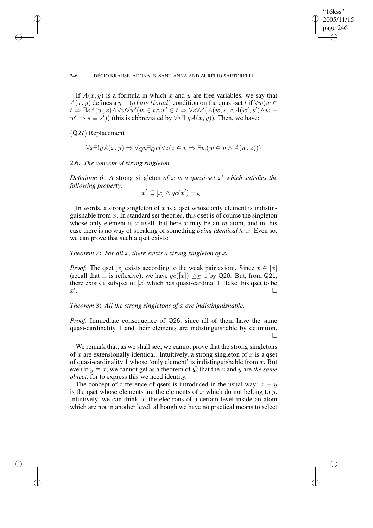✐

"16kss" 2005/11/15 page 246

✐

✐

#### 246 DÉCIO KRAUSE, ADONAI S. SANT'ANNA AND AURÉLIO SARTORELLI

If  $A(x, y)$  is a formula in which x and y are free variables, we say that  $A(x, y)$  defines a y – (qfunctional) condition on the quasi-set t if  $\forall w (w \in$  $t\rightarrow \exists s A(w,s)\wedge \forall w\forall w'(w\in t\wedge w'\in t\Rightarrow \forall s\forall s'(A(w,s)\wedge A(w',s')\wedge w\equiv 0$  $w' \Rightarrow s \equiv s'$ )) (this is abbreviated by  $\forall x \exists! y A(x, y)$ ). Then, we have:

(Q27) Replacement

✐

✐

✐

✐

$$
\forall x \exists! y A(x, y) \Rightarrow \forall Q u \exists Q v (\forall z (z \in v \Rightarrow \exists w (w \in u \land A(w, z)))
$$

#### 2.6. *The concept of strong singleton*

*Definition* 6: A strong singleton of x is a quasi-set  $x'$  which satisfies the *following property:*

$$
x' \subseteq [x] \land qc(x') =_E 1
$$

In words, a strong singleton of  $x$  is a qset whose only element is indistinguishable from  $x$ . In standard set theories, this qset is of course the singleton whose only element is x itself, but here x may be an  $m$ -atom, and in this case there is no way of speaking of something *being identical to* x. Even so, we can prove that such a qset exists:

## *Theorem 7*: *For all* x*, there exists a strong singleton of* x*.*

*Proof.* The qset [x] exists according to the weak pair axiom. Since  $x \in [x]$ (recall that  $\equiv$  is reflexive), we have  $qc(x) \geq_{E} 1$  by Q20. But, from Q21, there exists a subqset of  $[x]$  which has quasi-cardinal 1. Take this qset to be  $x'$ .

## *Theorem 8*: *All the strong singletons of* x *are indistinguishable.*

*Proof.* Immediate consequence of Q26, since all of them have the same quasi-cardinality 1 and their elements are indistinguishable by definition.  $\Box$ 

We remark that, as we shall see, we cannot prove that the strong singletons of x are extensionally identical. Intuitively, a strong singleton of x is a qset of quasi-cardinality 1 whose 'only element' is indistinguishable from  $x$ . But even if  $y \equiv x$ , we cannot get as a theorem of Q that the x and y are *the same object*, for to express this we need identity.

The concept of difference of qsets is introduced in the usual way:  $x - y$ is the qset whose elements are the elements of x which do not belong to y. Intuitively, we can think of the electrons of a certain level inside an atom which are not in another level, although we have no practical means to select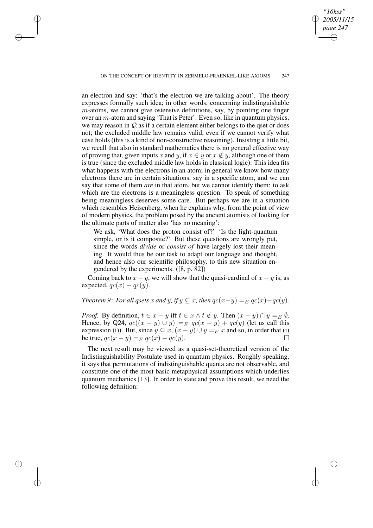✐

✐

✐

*"16kss" 2005/11/15 page 247*

✐

✐

✐

✐

an electron and say: 'that's the electron we are talking about'. The theory expresses formally such idea; in other words, concerning indistinguishable  $m$ -atoms, we cannot give ostensive definitions, say, by pointing one finger over an  $m$ -atom and saying 'That is Peter'. Even so, like in quantum physics, we may reason in  $Q$  as if a certain element either belongs to the qset or does not; the excluded middle law remains valid, even if we cannot verify what case holds (this is a kind of non-constructive reasoning). Insisting a little bit, we recall that also in standard mathematics there is no general effective way of proving that, given inputs x and y, if  $x \in y$  or  $x \notin y$ , although one of them is true (since the excluded middle law holds in classical logic). This idea fits what happens with the electrons in an atom; in general we know how many electrons there are in certain situations, say in a specific atom, and we can say that some of them *are* in that atom, but we cannot identify them: to ask which are the electrons is a meaningless question. To speak of something being meaningless deserves some care. But perhaps we are in a situation which resembles Heisenberg, when he explains why, from the point of view of modern physics, the problem posed by the ancient atomists of looking for the ultimate parts of matter also 'has no meaning':

We ask, 'What does the proton consist of?' 'Is the light-quantum simple, or is it composite?' But these questions are wrongly put, since the words *divide* or *consist of* have largely lost their meaning. It would thus be our task to adapt our language and thought, and hence also our scientific philosophy, to this new situation engendered by the experiments. ([8, p. 82])

Coming back to  $x - y$ , we will show that the quasi-cardinal of  $x - y$  is, as expected,  $qc(x) - qc(y)$ .

*Theorem* 9: *For all qsets* x *and* y, if  $y \subseteq x$ , then  $qc(x-y) =_E qc(x) - qc(y)$ .

*Proof.* By definition,  $t \in x - y$  iff  $t \in x \wedge t \notin y$ . Then  $(x - y) \cap y =_E \emptyset$ . Hence, by Q24,  $qc((x - y) \cup y) =_E qc(x - y) + qc(y)$  (let us call this expression (i)). But, since  $y \subseteq x$ ,  $(x - y) \cup y =_E x$  and so, in order that (i) be true,  $qc(x - y) =_E qc(x) - qc(y)$ .

The next result may be viewed as a quasi-set-theoretical version of the Indistinguishability Postulate used in quantum physics. Roughly speaking, it says that permutations of indistinguishable quanta are not observable, and constitute one of the most basic metaphysical assumptions which underlies quantum mechanics [13]. In order to state and prove this result, we need the following definition: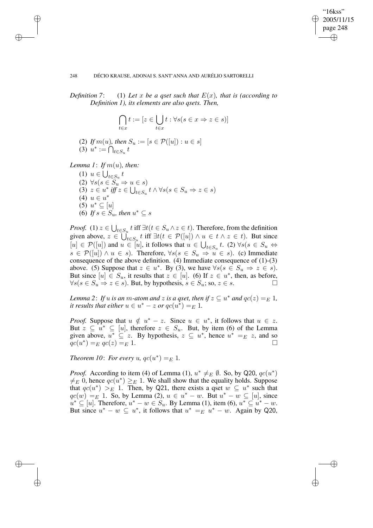## "16kss" 2005/11/15 page 248 ✐ ✐

✐

✐

#### 248 DÉCIO KRAUSE, ADONAI S. SANT'ANNA AND AURÉLIO SARTORELLI

*Definition* 7: (1) Let x be a gset such that  $E(x)$ , that is (according to *Definition 1), its elements are also qsets. Then,*

$$
\bigcap_{t \in x} t := [z \in \bigcup_{t \in x} t : \forall s (s \in x \Rightarrow z \in s)]
$$

(2) *If*  $m(u)$ *, then*  $S_u := [s \in \mathcal{P}([u]) : u \in s]$ (3)  $u^* := \bigcap_{t \in S_u} t$ 

*Lemma* 1: *If*  $m(u)$ *, then:* 

✐

✐

✐

✐

(1)  $u \in \bigcup_{t \in S_u} t$ (2)  $\forall s (s \in S_u \Rightarrow u \in s)$ (3)  $z \in u^*$  *iff*  $z \in \bigcup_{t \in S_u} t \wedge \forall s (s \in S_u \Rightarrow z \in s)$ (4)  $u \in u^*$  $(5)$   $u^* \subseteq [u]$ (6) *If*  $s \in S_u$ , then  $u^* \subseteq s$ 

*Proof.* (1)  $z \in \bigcup_{t \in S_u} t$  iff  $\exists t (t \in S_u \land z \in t)$ . Therefore, from the definition given above,  $z \in \bigcup_{t \in S_u} t$  iff  $\exists t (t \in \mathcal{P}([u]) \land u \in t \land z \in t)$ . But since  $[u] \in \mathcal{P}([u])$  and  $u \in [u]$ , it follows that  $u \in \bigcup_{t \in S_u} t$ . (2)  $\forall s(s \in S_u \Leftrightarrow t)$  $s \in \mathcal{P}([u]) \wedge u \in s$ ). Therefore,  $\forall s (s \in S_u \Rightarrow u \in s)$ . (c) Immediate consequence of the above definition. (4) Immediate consequence of (1)-(3) above. (5) Suppose that  $z \in u^*$ . By (3), we have  $\forall s (s \in S_u \Rightarrow z \in s)$ . But since  $[u] \in S_u$ , it results that  $z \in [u]$ . (6) If  $z \in u^*$ , then, as before,  $\forall s (s \in S_u \Rightarrow z \in s)$ . But, by hypothesis,  $s \in S_u$ ; so,  $z \in s$ .

*Lemma* 2: If  $u$  *is an*  $m$ -atom and  $z$  *is a qset, then if*  $z \subseteq u^*$  *and*  $qc(z) =_E 1$ *, it results that either*  $u \in u^* - z$  *or*  $qc(u^*) =_E 1$ .

*Proof.* Suppose that  $u \notin u^* - z$ . Since  $u \in u^*$ , it follows that  $u \in z$ . But  $z \subseteq u^* \subseteq [u]$ , therefore  $z \in S_u$ . But, by item (6) of the Lemma given above,  $u^* \subseteq z$ . By hypothesis,  $z \subseteq u^*$ , hence  $u^* =_E z$ , and so  $\breve{q}c(u^*)$  $) = E \left[ qc(z) \right] = E \left[ 1.$ 

*Theorem* 10: *For every* u,  $qc(u^*) =_E 1$ .

*Proof.* According to item (4) of Lemma (1),  $u^* \neq_E \emptyset$ . So, by Q20,  $qc(u^*)$  $\neq_E$  0, hence  $qc(u^*) \geq_E 1$ . We shall show that the equality holds. Suppose that  $qc(u^*) >_E 1$ . Then, by Q21, there exists a qset  $w \subseteq u^*$  such that  $qc(w) =_{E} 1$ . So, by Lemma (2),  $u \in u^{*} - w$ . But  $u^{*} - w \subseteq [u]$ , since  $u^* \subseteq [u]$ . Therefore,  $u^* - w \in S_u$ . By Lemma (1), item (6),  $u^* \subseteq u^* - w$ . But since  $u^* - w \subseteq u^*$ , it follows that  $u^* = E \overline{u^* - w}$ . Again by Q20,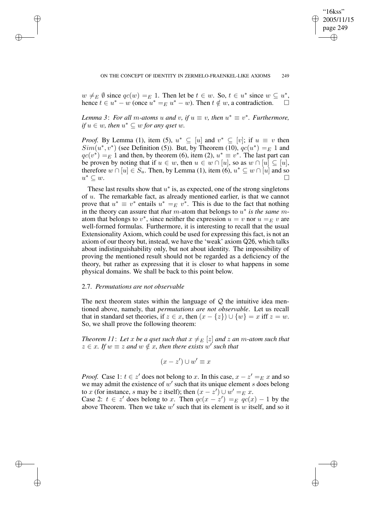✐

 $w \neq_{E} \emptyset$  since  $qc(w) =_{E} 1$ . Then let be  $t \in w$ . So,  $t \in u^*$  since  $w \subseteq u^*$ , hence  $t \in u^* - w$  (once  $u^* =_E u^* - w$ ). Then  $t \notin w$ , a contradiction.

*Lemma* 3: *For all m-atoms* u and v, if  $u \equiv v$ , then  $u^* \equiv v^*$ . *Furthermore*,  $if u \in w$ , then  $u^* \subseteq w$  *for any qset*  $w$ .

*Proof.* By Lemma (1), item (5),  $u^* \subseteq [u]$  and  $v^* \subseteq [v]$ ; if  $u \equiv v$  then  $Sim(u^*, v^*)$  (see Definition (5)). But, by Theorem (10),  $qc(u^*) =_E 1$  and  $qc(v^*) =_E 1$  and then, by theorem (6), item (2),  $u^* \equiv v^*$ . The last part can be proven by noting that if  $u \in w$ , then  $u \in w \cap [u]$ , so as  $w \cap [u] \subseteq [u]$ , therefore  $w \cap [u] \in S_u$ . Then, by Lemma (1), item (6),  $u^* \subseteq w \cap [u]$  and so  $u^* \subseteq w$ .  $* \subseteq w$ .

These last results show that  $u^*$  is, as expected, one of the strong singletons of u. The remarkable fact, as already mentioned earlier, is that we cannot prove that  $u^* \equiv v^*$  entails  $u^* =_E v^*$ . This is due to the fact that nothing in the theory can assure that *that*  $\overline{m}$ -atom that belongs to  $u^*$  *is the same*  $\overline{m}$ atom that belongs to  $v^*$ , since neither the expression  $u = v$  nor  $u =_E v$  are well-formed formulas. Furthermore, it is interesting to recall that the usual Extensionality Axiom, which could be used for expressing this fact, is not an axiom of our theory but, instead, we have the 'weak' axiom Q26, which talks about indistinguishability only, but not about identity. The impossibility of proving the mentioned result should not be regarded as a deficiency of the theory, but rather as expressing that it is closer to what happens in some physical domains. We shall be back to this point below.

#### 2.7. *Permutations are not observable*

✐

✐

✐

✐

The next theorem states within the language of  $Q$  the intuitive idea mentioned above, namely, that *permutations are not observable*. Let us recall that in standard set theories, if  $z \in x$ , then  $(x - \{z\}) \cup \{w\} = x$  iff  $z = w$ . So, we shall prove the following theorem:

*Theorem* 11: Let x be a qset such that  $x \neq_E [z]$  and z an m-atom such that  $z \in x$ . If  $w \equiv z$  and  $w \notin x$ , then there exists  $w'$  such that

$$
(x - z') \cup w' \equiv x
$$

*Proof.* Case 1:  $t \in z'$  does not belong to x. In this case,  $x - z' =_E x$  and so we may admit the existence of  $w'$  such that its unique element s does belong to x (for instance, s may be z itself); then  $(x - z') \cup w' =_{E} x$ .

Case 2:  $t \in z'$  does belong to x. Then  $qc(x - z') =_E qc(x) - 1$  by the above Theorem. Then we take  $w'$  such that its element is  $w$  itself, and so it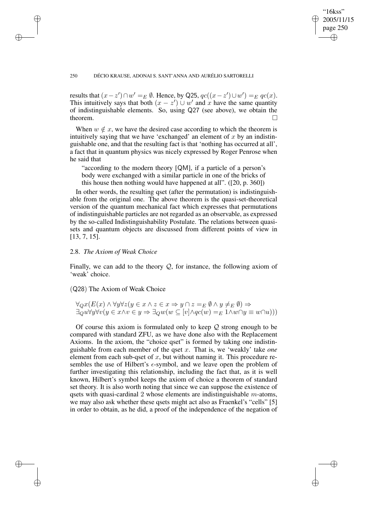## "16kss" 2005/11/15 page 250 ✐ ✐

✐

✐

#### 250 DÉCIO KRAUSE, ADONAI S. SANT'ANNA AND AURÉLIO SARTORELLI

results that  $(x - z') \cap w' =_E \emptyset$ . Hence, by Q25,  $qc((x - z') \cup w') =_E qc(x)$ . This intuitively says that both  $(x - z') \cup w'$  and x have the same quantity of indistinguishable elements. So, using Q27 (see above), we obtain the theorem.  $\Box$ 

When  $w \notin x$ , we have the desired case according to which the theorem is intuitively saying that we have 'exchanged' an element of  $x$  by an indistinguishable one, and that the resulting fact is that 'nothing has occurred at all', a fact that in quantum physics was nicely expressed by Roger Penrose when he said that

"according to the modern theory [QM], if a particle of a person's body were exchanged with a similar particle in one of the bricks of this house then nothing would have happened at all". ([20, p. 360])

In other words, the resulting qset (after the permutation) is indistinguishable from the original one. The above theorem is the quasi-set-theoretical version of the quantum mechanical fact which expresses that permutations of indistinguishable particles are not regarded as an observable, as expressed by the so-called Indistinguishability Postulate. The relations between quasisets and quantum objects are discussed from different points of view in [13, 7, 15].

## 2.8. *The Axiom of Weak Choice*

✐

✐

✐

✐

Finally, we can add to the theory  $Q$ , for instance, the following axiom of 'weak' choice.

## (Q28) The Axiom of Weak Choice

$$
\forall_Q x (E(x) \land \forall y \forall z (y \in x \land z \in x \Rightarrow y \cap z =_E \emptyset \land y \neq_E \emptyset) \Rightarrow \exists_Q u \forall y \forall v (y \in x \land v \in y \Rightarrow \exists_Q w (w \subseteq [v] \land qc(w) =_E 1 \land w \cap y \equiv w \cap u)))
$$

Of course this axiom is formulated only to keep  $Q$  strong enough to be compared with standard ZFU, as we have done also with the Replacement Axioms. In the axiom, the "choice qset" is formed by taking one indistinguishable from each member of the qset x. That is, we 'weakly' take *one* element from each sub-qset of  $x$ , but without naming it. This procedure resembles the use of Hilbert's  $\epsilon$ -symbol, and we leave open the problem of further investigating this relationship, including the fact that, as it is well known, Hilbert's symbol keeps the axiom of choice a theorem of standard set theory. It is also worth noting that since we can suppose the existence of qsets with quasi-cardinal 2 whose elements are indistinguishable  $m$ -atoms, we may also ask whether these qsets might act also as Fraenkel's "cells" [5] in order to obtain, as he did, a proof of the independence of the negation of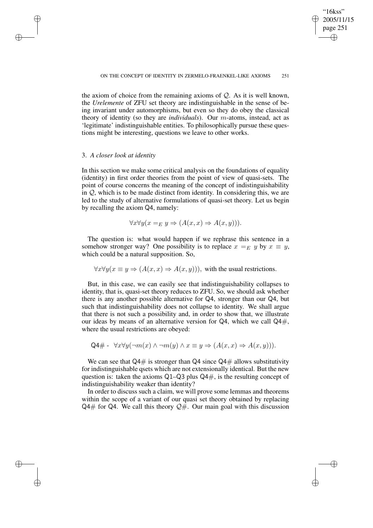"16kss" 2005/11/15 page 251

✐

✐

✐

✐

the axiom of choice from the remaining axioms of  $Q$ . As it is well known, the *Urelemente* of ZFU set theory are indistinguishable in the sense of being invariant under automorphisms, but even so they do obey the classical theory of identity (so they are *individuals*). Our m-atoms, instead, act as 'legitimate' indistinguishable entities. To philosophically pursue these questions might be interesting, questions we leave to other works.

## 3. *A closer look at identity*

✐

✐

✐

✐

In this section we make some critical analysis on the foundations of equality (identity) in first order theories from the point of view of quasi-sets. The point of course concerns the meaning of the concept of indistinguishability in Q, which is to be made distinct from identity. In considering this, we are led to the study of alternative formulations of quasi-set theory. Let us begin by recalling the axiom Q4, namely:

$$
\forall x \forall y (x =_E y \Rightarrow (A(x, x) \Rightarrow A(x, y))).
$$

The question is: what would happen if we rephrase this sentence in a somehow stronger way? One possibility is to replace  $x =_E y$  by  $x \equiv y$ , which could be a natural supposition. So,

 $\forall x \forall y (x \equiv y \Rightarrow (A(x, x) \Rightarrow A(x, y))),$  with the usual restrictions.

But, in this case, we can easily see that indistinguishability collapses to identity, that is, quasi-set theory reduces to ZFU. So, we should ask whether there is any another possible alternative for Q4, stronger than our Q4, but such that indistinguishability does not collapse to identity. We shall argue that there is not such a possibility and, in order to show that, we illustrate our ideas by means of an alternative version for  $Q4$ , which we call  $Q4\#$ , where the usual restrictions are obeyed:

$$
Q4\# - \forall x \forall y (\neg m(x) \land \neg m(y) \land x \equiv y \Rightarrow (A(x, x) \Rightarrow A(x, y))).
$$

We can see that  $Q4\#$  is stronger than  $Q4$  since  $Q4\#$  allows substitutivity for indistinguishable qsets which are not extensionally identical. But the new question is: taken the axioms  $Q1-Q3$  plus  $Q4\#$ , is the resulting concept of indistinguishability weaker than identity?

In order to discuss such a claim, we will prove some lemmas and theorems within the scope of a variant of our quasi set theory obtained by replacing  $Q4#$  for Q4. We call this theory  $Q#$ . Our main goal with this discussion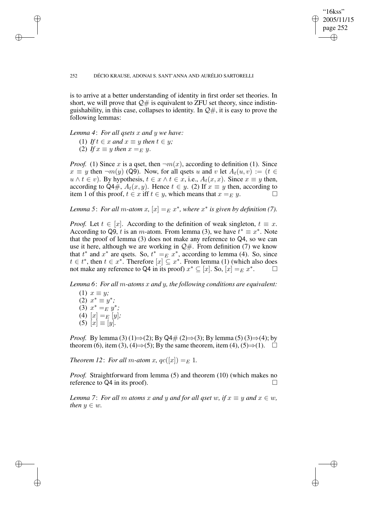## "16kss" 2005/11/15 page 252 ✐ ✐

✐

✐

#### 252 DÉCIO KRAUSE, ADONAI S. SANT'ANNA AND AURÉLIO SARTORELLI

is to arrive at a better understanding of identity in first order set theories. In short, we will prove that  $\mathcal{Q}_\#$  is equivalent to ZFU set theory, since indistinguishability, in this case, collapses to identity. In  $\mathcal{Q},\#$ , it is easy to prove the following lemmas:

*Lemma 4*: *For all qsets* x *and* y *we have:*

(1) If 
$$
t \in x
$$
 and  $x \equiv y$  then  $t \in y$ ;

(2) If  $x \equiv y$  then  $x =_E y$ .

✐

✐

✐

✐

*Proof.* (1) Since x is a qset, then  $\neg m(x)$ , according to definition (1). Since  $x \equiv y$  then  $\neg m(y)$  (Q9). Now, for all qsets u and v let  $A_t(u, v) := (t \in$  $u \wedge t \in v$ ). By hypothesis,  $t \in x \wedge t \in x$ , i.e.,  $A_t(x, x)$ . Since  $x \equiv y$  then, according to Q4#,  $A_t(x, y)$ . Hence  $t \in y$ . (2) If  $x \equiv y$  then, according to item 1 of this proof,  $t \in x$  iff  $t \in y$ , which means that  $x =_E y$ .

*Lemma* 5: *For all m-atom*  $x$ ,  $[x] =_E x^*$ , where  $x^*$  *is given by definition* (7).

*Proof.* Let  $t \in [x]$ . According to the definition of weak singleton,  $t \equiv x$ . According to Q9, t is an m-atom. From lemma (3), we have  $t^* \equiv x^*$ . Note that the proof of lemma (3) does not make any reference to Q4, so we can use it here, although we are working in  $\mathcal{Q#}$ . From definition (7) we know that  $t^*$  and  $x^*$  are qsets. So,  $t^* = E x^*$ , according to lemma (4). So, since  $t \in t^*$ , then  $t \in x^*$ . Therefore  $[x] \subseteq x^*$ . From lemma (1) (which also does not make any reference to Q4 in its proof)  $x^* \subseteq [x]$ . So,  $[x] =_E x^*$ . □

*Lemma 6*: *For all* m*-atoms* x *and* y*, the following conditions are equivalent:*

 $(1)$   $x \equiv y$ ;  $(2)$   $x^* \equiv y^*$ ; (3)  $x^* = E y^*$ ; (4)  $[x] =_E [y]$ ;  $(5)$   $[x] \equiv [y]$ *.* 

*Proof.* By lemma (3) (1) $\Rightarrow$  (2); By Q4# (2) $\Rightarrow$  (3); By lemma (5) (3) $\Rightarrow$  (4); by theorem (6), item (3), (4) $\Rightarrow$  (5); By the same theorem, item (4), (5) $\Rightarrow$  (1).  $\Box$ 

*Theorem* 12: *For all m-atom x,*  $qc([x]) =_E 1$ .

*Proof.* Straightforward from lemma (5) and theorem (10) (which makes no reference to Q4 in its proof).  $\Box$ 

*Lemma* 7: *For all m atoms* x *and* y *and for all qset* w, *if*  $x \equiv y$  *and*  $x \in w$ , *then*  $y \in w$ *.*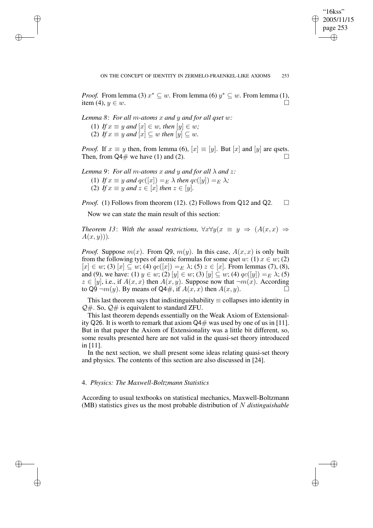✐

*Proof.* From lemma (3)  $x^* \subseteq w$ . From lemma (6)  $y^* \subseteq w$ . From lemma (1), item (4),  $y \in w$ .

*Lemma 8*: *For all* m*-atoms* x *and* y *and for all qset* w*:*

(1) *If*  $x \equiv y$  *and*  $[x] \in w$ *, then*  $[y] \in w$ *;* (2) If  $x \equiv y$  and  $[x] \subseteq w$  then  $[y] \subseteq w$ .

✐

✐

✐

✐

*Proof.* If  $x \equiv y$  then, from lemma (6),  $[x] \equiv [y]$ . But  $[x]$  and  $[y]$  are qsets. Then, from  $Q4\#$  we have (1) and (2).

*Lemma* 9: *For all m-atoms* x *and* y *and for all*  $\lambda$  *and* z:

(1) *If*  $x \equiv y$  *and*  $qc([x]) =_E \lambda$  *then*  $qc([y]) =_E \lambda$ ; (2) If  $x \equiv y$  and  $z \in [x]$  then  $z \in [y]$ .

*Proof.* (1) Follows from theorem (12). (2) Follows from Q12 and Q2.  $\square$ 

Now we can state the main result of this section:

*Theorem* 13: With the usual restrictions,  $\forall x \forall y (x \equiv y \implies (A(x, x) \Rightarrow$  $A(x, y)$ ).

*Proof.* Suppose  $m(x)$ . From Q9,  $m(y)$ . In this case,  $A(x, x)$  is only built from the following types of atomic formulas for some qset w: (1)  $x \in w$ ; (2)  $[x] \in w$ ; (3)  $[x] \subseteq w$ ; (4)  $qc([x]) =_E \lambda$ ; (5)  $z \in [x]$ . From lemmas (7), (8), and (9), we have: (1)  $y \in w$ ; (2)  $[y] \in w$ ; (3)  $[y] \subseteq w$ ; (4)  $qc([y]) =_E \lambda$ ; (5)  $z \in [y]$ , i.e., if  $A(x, x)$  then  $A(x, y)$ . Suppose now that  $\neg m(x)$ . According to Q9  $\neg m(y)$ . By means of Q4#, if  $A(x, x)$  then  $A(x, y)$ .

This last theorem says that indistinguishability  $\equiv$  collapses into identity in  $Q#$ . So,  $Q#$  is equivalent to standard ZFU.

This last theorem depends essentially on the Weak Axiom of Extensionality Q26. It is worth to remark that axiom  $Q4#$  was used by one of us in [11]. But in that paper the Axiom of Extensionality was a little bit different, so, some results presented here are not valid in the quasi-set theory introduced in [11].

In the next section, we shall present some ideas relating quasi-set theory and physics. The contents of this section are also discussed in [24].

## 4. *Physics: The Maxwell-Boltzmann Statistics*

According to usual textbooks on statistical mechanics, Maxwell-Boltzmann (MB) statistics gives us the most probable distribution of N *distinguishable*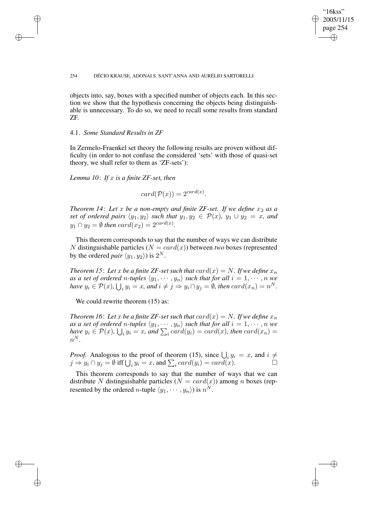## "16kss" 2005/11/15 page 254 ✐ ✐

✐

✐

#### 254 DÉCIO KRAUSE, ADONAI S. SANT'ANNA AND AURÉLIO SARTORELLI

objects into, say, boxes with a specified number of objects each. In this section we show that the hypothesis concerning the objects being distinguishable is unnecessary. To do so, we need to recall some results from standard ZF.

## 4.1. *Some Standard Results in ZF*

✐

✐

✐

✐

In Zermelo-Fraenkel set theory the following results are proven without difficulty (in order to not confuse the considered 'sets' with those of quasi-set theory, we shall refer to them as 'ZF-sets'):

*Lemma 10*: *If* x *is a finite ZF-set, then*

 $card(\mathcal{P}(x)) = 2^{card(x)}$ .

*Theorem* 14: Let  $x$  be a non-empty and finite ZF-set. If we define  $x_2$  as a *set of ordered pairs*  $\langle y_1, y_2 \rangle$  *such that*  $y_1, y_2 \in P(x)$ *,*  $y_1 \cup y_2 = x$ *, and*  $y_1 \cap y_2 = \emptyset$  then  $card(x_2) = 2^{card(x)}$ .

This theorem corresponds to say that the number of ways we can distribute N distinguishable particles  $(N = card(x))$  between *two* boxes (represented by the ordered *pair*  $\langle y_1, y_2 \rangle$  is  $2^N$ .

*Theorem* 15: Let x be a finite ZF-set such that  $card(x) = N$ . If we define  $x_n$ *as a set of ordered n*-tuples  $\langle y_1, \cdots, y_n \rangle$  *such that for all*  $i = 1, \cdots, n$  *we have*  $y_i \in \mathcal{P}(x)$ ,  $\bigcup_i y_i = x$ , and  $i \neq j \Rightarrow y_i \cap y_j = \emptyset$ , then  $card(x_n) = n^N$ .

We could rewrite theorem  $(15)$  as:

*Theorem* 16: Let x be a finite ZF-set such that  $card(x) = N$ . If we define  $x_n$  $a$ s  $a$  set of ordered  $n$ -tuples  $\langle y_1, \cdots, y_n \rangle$  such that for all  $i = 1, \cdots, n$  we *have*  $y_i \in \mathcal{P}(x)$ ,  $\bigcup_i y_i = x$ , and  $\sum_i card(y_i) = card(x)$ , then  $card(x_n) =$  $n^N$ .

*Proof.* Analogous to the proof of theorem (15), since  $\bigcup_i y_i = x$ , and  $i \neq$  $j \Rightarrow y_i \cap y_j = \emptyset$  iff  $\bigcup_i y_i = x$ , and  $\sum_i card(y_i) = card(x)$ .

This theorem corresponds to say that the number of ways that we can distribute N distinguishable particles  $(N = card(x))$  among n boxes (represented by the ordered *n*-tuple  $\langle y_1, \cdots, y_n \rangle$  is  $n^N$ .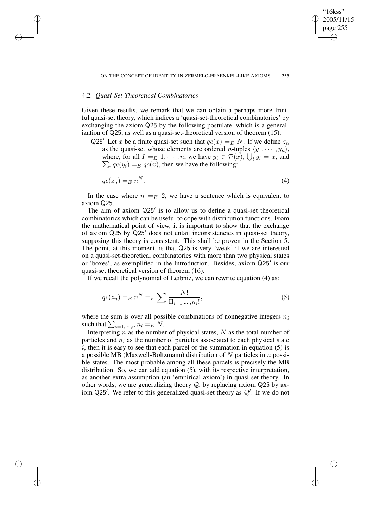"16kss" 2005/11/15 page 255

✐

✐

✐

✐

## 4.2. *Quasi-Set-Theoretical Combinatorics*

✐

✐

✐

✐

Given these results, we remark that we can obtain a perhaps more fruitful quasi-set theory, which indices a 'quasi-set-theoretical combinatorics' by exchanging the axiom Q25 by the following postulate, which is a generalization of Q25, as well as a quasi-set-theoretical version of theorem (15):

Q25<sup> $\prime$ </sup> Let x be a finite quasi-set such that  $qc(x) = E N$ . If we define  $z_n$ as the quasi-set whose elements are ordered *n*-tuples  $\langle y_1, \cdots, y_n \rangle$ , where, for all  $I =_E 1, \dots, n$ , we have  $y_i \in \mathcal{P}(x)$ ,  $\bigcup_i$ <br> $\sum_i q c(y_i) =_E q c(x)$ , then we have the following:  $y_i = x$ , and  $i_{i}$   $qc(y_i) =_{E} qc(x)$ , then we have the following:

$$
qc(z_n) =_E n^N. \tag{4}
$$

In the case where  $n = E$  2, we have a sentence which is equivalent to axiom Q25.

The aim of axiom Q25' is to allow us to define a quasi-set theoretical combinatorics which can be useful to cope with distribution functions. From the mathematical point of view, it is important to show that the exchange of axiom  $Q25$  by  $Q25'$  does not entail inconsistencies in quasi-set theory, supposing this theory is consistent. This shall be proven in the Section 5. The point, at this moment, is that Q25 is very 'weak' if we are interested on a quasi-set-theoretical combinatorics with more than two physical states or 'boxes', as exemplified in the Introduction. Besides, axiom Q25' is our quasi-set theoretical version of theorem (16).

If we recall the polynomial of Leibniz, we can rewrite equation (4) as:

$$
qc(z_n) =_E n^N =_E \sum \frac{N!}{\prod_{i=1,\cdots,n} n_i!},
$$
\n(5)

where the sum is over all possible combinations of nonnegative integers  $n_i$ such that  $\sum_{i=1,\cdots,n} n_i =_E N$ .

Interpreting  $n$  as the number of physical states,  $N$  as the total number of particles and  $n_i$  as the number of particles associated to each physical state  $i$ , then it is easy to see that each parcel of the summation in equation  $(5)$  is a possible MB (Maxwell-Boltzmann) distribution of N particles in  $n$  possible states. The most probable among all these parcels is precisely the MB distribution. So, we can add equation (5), with its respective interpretation, as another extra-assumption (an 'empirical axiom') in quasi-set theory. In other words, we are generalizing theory  $Q$ , by replacing axiom Q25 by axiom Q25'. We refer to this generalized quasi-set theory as  $Q'$ . If we do not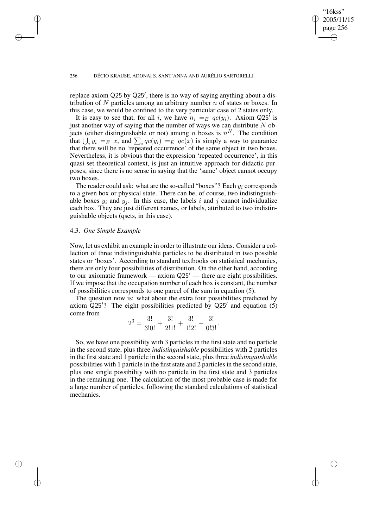## "16kss" 2005/11/15 page 256 ✐ ✐

✐

✐

#### 256 DÉCIO KRAUSE, ADONAI S. SANT'ANNA AND AURÉLIO SARTORELLI

replace axiom Q25 by Q25', there is no way of saying anything about a distribution of N particles among an arbitrary number  $n$  of states or boxes. In this case, we would be confined to the very particular case of 2 states only.

It is easy to see that, for all i, we have  $n_i =_E qc(y_i)$ . Axiom Q25<sup>7</sup> is just another way of saying that the number of ways we can distribute  $N$  objects (either distinguishable or not) among *n* boxes is  $n^N$ . The condition that  $\bigcup_i y_i =_E x$ , and  $\sum_i qc(y_i) =_E qc(x)$  is simply a way to guarantee that there will be no 'repeated occurrence' of the same object in two boxes. Nevertheless, it is obvious that the expression 'repeated occurrence', in this quasi-set-theoretical context, is just an intuitive approach for didactic purposes, since there is no sense in saying that the 'same' object cannot occupy two boxes.

The reader could ask: what are the so-called "boxes"? Each  $y_i$  corresponds to a given box or physical state. There can be, of course, two indistinguishable boxes  $y_i$  and  $y_j$ . In this case, the labels i and j cannot individualize each box. They are just different names, or labels, attributed to two indistinguishable objects (qsets, in this case).

## 4.3. *One Simple Example*

✐

✐

✐

✐

Now, let us exhibit an example in order to illustrate our ideas. Consider a collection of three indistinguishable particles to be distributed in two possible states or 'boxes'. According to standard textbooks on statistical mechanics, there are only four possibilities of distribution. On the other hand, according to our axiomatic framework — axiom  $\mathsf{Q}25'$  — there are eight possibilities. If we impose that the occupation number of each box is constant, the number of possibilities corresponds to one parcel of the sum in equation (5).

The question now is: what about the extra four possibilities predicted by axiom  $\dot{Q}$ 25'? The eight possibilities predicted by  $Q$ 25' and equation (5) come from

$$
2^{3} = \frac{3!}{3!0!} + \frac{3!}{2!1!} + \frac{3!}{1!2!} + \frac{3!}{0!3!}.
$$

So, we have one possibility with 3 particles in the first state and no particle in the second state, plus three *indistinguishable* possibilities with 2 particles in the first state and 1 particle in the second state, plus three *indistinguishable* possibilities with 1 particle in the first state and 2 particles in the second state, plus one single possibility with no particle in the first state and 3 particles in the remaining one. The calculation of the most probable case is made for a large number of particles, following the standard calculations of statistical mechanics.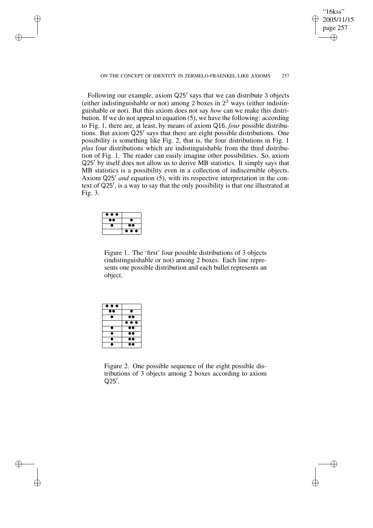#### ON THE CONCEPT OF IDENTITY IN ZERMELO-FRAENKEL-LIKE AXIOMS 257

"16kss" 2005/11/15 page 257

✐

✐

✐

✐

Following our example, axiom Q25' says that we can distribute 3 objects (either indistinguishable or not) among 2 boxes in  $2<sup>3</sup>$  ways (either indistinguishable or not). But this axiom does not say *how* can we make this distribution. If we do not appeal to equation (5), we have the following: according to Fig. 1, there are, at least, by means of axiom Q16, *four* possible distributions. But axiom Q25' says that there are eight possible distributions. One possibility is something like Fig. 2, that is, the four distributions in Fig. 1 *plus* four distributions which are indistinguishable from the third distribution of Fig. 1. The reader can easily imagine other possibilities. So, axiom  $Q25'$  by itself does not allow us to derive MB statistics. It simply says that MB statistics is a possibility even in a collection of indiscernible objects. Axiom Q25' *and* equation (5), with its respective interpretation in the context of Q25', is a way to say that the only possibility is that one illustrated at Fig. 3.



✐

✐

✐

✐

Figure 1. The 'first' four possible distributions of 3 objects (indistinguishable or not) among 2 boxes. Each line represents one possible distribution and each bullet represents an object.

| $\bullet\bullet\bullet$ |                         |
|-------------------------|-------------------------|
|                         | ●                       |
| ٠                       |                         |
|                         | $\bullet\bullet\bullet$ |
| a                       |                         |
| n                       |                         |
| a                       |                         |
|                         |                         |

Figure 2. One possible sequence of the eight possible distributions of 3 objects among 2 boxes according to axiom  $Q25'$ .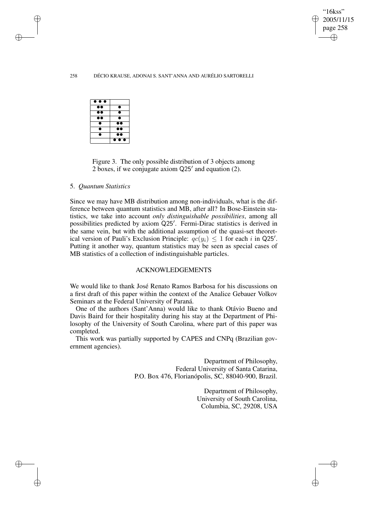✐

#### 258 DÉCIO KRAUSE, ADONAI S. SANT'ANNA AND AURÉLIO SARTORELLI

| $\bullet\bullet\bullet$ |                         |
|-------------------------|-------------------------|
| $\bullet\bullet$        | т                       |
| $\bullet\bullet$        |                         |
|                         | т                       |
|                         |                         |
|                         | $\bullet\bullet$        |
|                         |                         |
|                         | $\bullet\bullet\bullet$ |

✐

✐

✐

✐

Figure 3. The only possible distribution of 3 objects among 2 boxes, if we conjugate axiom  $Q25'$  and equation (2).

#### 5. *Quantum Statistics*

Since we may have MB distribution among non-individuals, what is the difference between quantum statistics and MB, after all? In Bose-Einstein statistics, we take into account *only distinguishable possibilities*, among all possibilities predicted by axiom Q25'. Fermi-Dirac statistics is derived in the same vein, but with the additional assumption of the quasi-set theoretical version of Pauli's Exclusion Principle:  $qc(y_i) \leq 1$  for each i in Q25'. Putting it another way, quantum statistics may be seen as special cases of MB statistics of a collection of indistinguishable particles.

## ACKNOWLEDGEMENTS

We would like to thank José Renato Ramos Barbosa for his discussions on a first draft of this paper within the context of the Analice Gebauer Volkov Seminars at the Federal University of Paraná.

One of the authors (Sant'Anna) would like to thank Otávio Bueno and Davis Baird for their hospitality during his stay at the Department of Philosophy of the University of South Carolina, where part of this paper was completed.

This work was partially supported by CAPES and CNPq (Brazilian government agencies).

> Department of Philosophy, Federal University of Santa Catarina, P.O. Box 476, Florianópolis, SC, 88040-900, Brazil.

> > Department of Philosophy, University of South Carolina, Columbia, SC, 29208, USA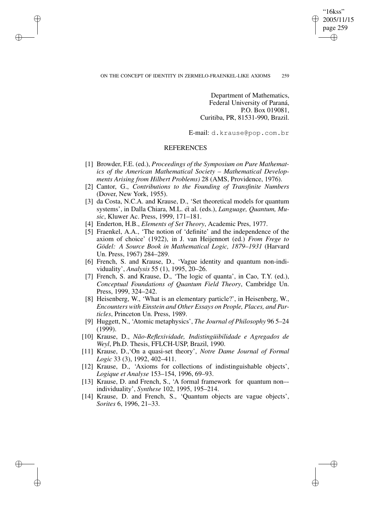## ON THE CONCEPT OF IDENTITY IN ZERMELO-FRAENKEL-LIKE AXIOMS 259

✐

✐

✐

✐

Department of Mathematics, Federal University of Paraná, P.O. Box 019081, Curitiba, PR, 81531-990, Brazil.

"16kss" 2005/11/15 page 259

✐

✐

✐

✐

E-mail: d.krause@pop.com.br

## **REFERENCES**

- [1] Browder, F.E. (ed.), *Proceedings of the Symposium on Pure Mathematics of the American Mathematical Society – Mathematical Developments Arising from Hilbert Problems)* 28 (AMS, Providence, 1976).
- [2] Cantor, G., *Contributions to the Founding of Transfinite Numbers* (Dover, New York, 1955).
- [3] da Costa, N.C.A. and Krause, D., 'Set theoretical models for quantum systems', in Dalla Chiara, M.L. et al. (eds.), *Language, Quantum, Music*, Kluwer Ac. Press, 1999, 171–181.
- [4] Enderton, H.B., *Elements of Set Theory*, Academic Pres, 1977.
- [5] Fraenkel, A.A., 'The notion of 'definite' and the independence of the axiom of choice' (1922), in J. van Heijennort (ed.) *From Frege to Gödel: A Source Book in Mathematical Logic, 1879–1931* (Harvard Un. Press, 1967) 284–289.
- [6] French, S. and Krause, D., 'Vague identity and quantum non-individuality', *Analysis* 55 (1), 1995, 20–26.
- [7] French, S. and Krause, D., 'The logic of quanta', in Cao, T.Y. (ed.), *Conceptual Foundations of Quantum Field Theory*, Cambridge Un. Press, 1999, 324–242.
- [8] Heisenberg, W., 'What is an elementary particle?', in Heisenberg, W., *Encounters with Einstein and Other Essays on People, Places, and Particles*, Princeton Un. Press, 1989.
- [9] Huggett, N., 'Atomic metaphysics', *The Journal of Philosophy* 96 5–24 (1999).
- [10] Krause, D., *Não-Reflexividade, Indistingüibilidade e Agregados de Weyl*, Ph.D. Thesis, FFLCH-USP, Brazil, 1990.
- [11] Krause, D.,'On a quasi-set theory', *Notre Dame Journal of Formal Logic* 33 (3), 1992, 402–411.
- [12] Krause, D., 'Axioms for collections of indistinguishable objects', *Logique et Analyse* 153–154, 1996, 69–93.
- [13] Krause, D. and French, S., 'A formal framework for quantum non– individuality', *Synthese* 102, 1995, 195–214.
- [14] Krause, D. and French, S., 'Quantum objects are vague objects', *Sorites* 6, 1996, 21–33.